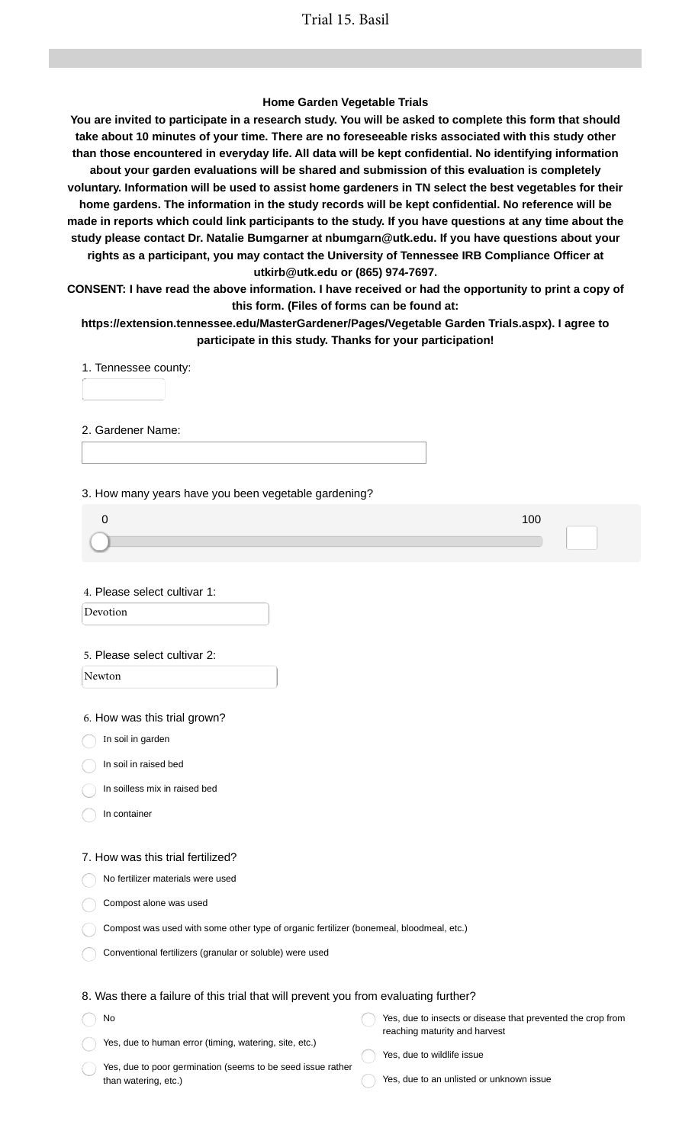#### **Home Garden Vegetable Trials**

**You are invited to participate in a research study. You will be asked to complete this form that should take about 10 minutes of your time. There are no foreseeable risks associated with this study other than those encountered in everyday life. All data will be kept confidential. No identifying information about your garden evaluations will be shared and submission of this evaluation is completely voluntary. Information will be used to assist home gardeners in TN select the best vegetables for their home gardens. The information in the study records will be kept confidential. No reference will be made in reports which could link participants to the study. If you have questions at any time about the study please contact Dr. Natalie Bumgarner at nbumgarn@utk.edu. If you have questions about your rights as a participant, you may contact the University of Tennessee IRB Compliance Officer at utkirb@utk.edu or (865) 974-7697.**

**CONSENT: I have read the above information. I have received or had the opportunity to print a copy of this form. (Files of forms can be found at:**

**https://extension.tennessee.edu/MasterGardener/Pages/Vegetable Garden Trials.aspx). I agree to participate in this study. Thanks for your participation!**

1. Tennessee county:

2. Gardener Name:

3. How many years have you been vegetable gardening?

4. Please select cultivar 1:

Devotion

#### 5. Please select cultivar 2:

Newton

6. How was this trial grown?

In soil in garden

In soil in raised bed

In soilless mix in raised bed

In container

#### 7. How was this trial fertilized?

No fertilizer materials were used

Compost alone was used

Compost was used with some other type of organic fertilizer (bonemeal, bloodmeal, etc.)

Conventional fertilizers (granular or soluble) were used

### 8. Was there a failure of this trial that will prevent you from evaluating further?

No Yes, due to human error (timing, watering, site, etc.) Yes, due to insects or disease that prevented the crop from reaching maturity and harvest Yes, due to wildlife issue

Yes, due to poor germination (seems to be seed issue rather than watering, etc.)

Yes, due to an unlisted or unknown issue